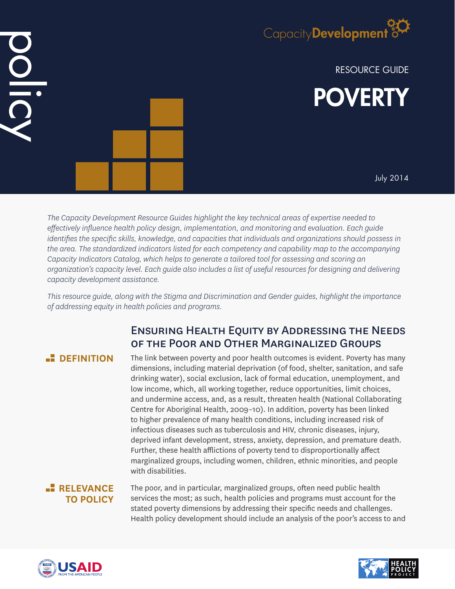

RESOURCE GUIDE



July 2014

*The Capacity Development Resource Guides highlight the key technical areas of expertise needed to effectively influence health policy design, implementation, and monitoring and evaluation. Each guide identifies the specific skills, knowledge, and capacities that individuals and organizations should possess in the area. The standardized indicators listed for each competency and capability map to the accompanying Capacity Indicators Catalog, which helps to generate a tailored tool for assessing and scoring an organization's capacity level. Each guide also includes a list of useful resources for designing and delivering capacity development assistance.*

*This resource guide, along with the Stigma and Discrimination and Gender guides, highlight the importance of addressing equity in health policies and programs.*

# Ensuring Health Equity by Addressing the Needs of the Poor and Other Marginalized Groups

# **E** DEFINITION

DID

The link between poverty and poor health outcomes is evident. Poverty has many dimensions, including material deprivation (of food, shelter, sanitation, and safe drinking water), social exclusion, lack of formal education, unemployment, and low income, which, all working together, reduce opportunities, limit choices, and undermine access, and, as a result, threaten health (National Collaborating Centre for Aboriginal Health, 2009–10). In addition, poverty has been linked to higher prevalence of many health conditions, including increased risk of infectious diseases such as tuberculosis and HIV, chronic diseases, injury, deprived infant development, stress, anxiety, depression, and premature death. Further, these health afflictions of poverty tend to disproportionally affect marginalized groups, including women, children, ethnic minorities, and people with disabilities.

## **RELEVANCE TO POLICY**

The poor, and in particular, marginalized groups, often need public health services the most; as such, health policies and programs must account for the stated poverty dimensions by addressing their specific needs and challenges. Health policy development should include an analysis of the poor's access to and



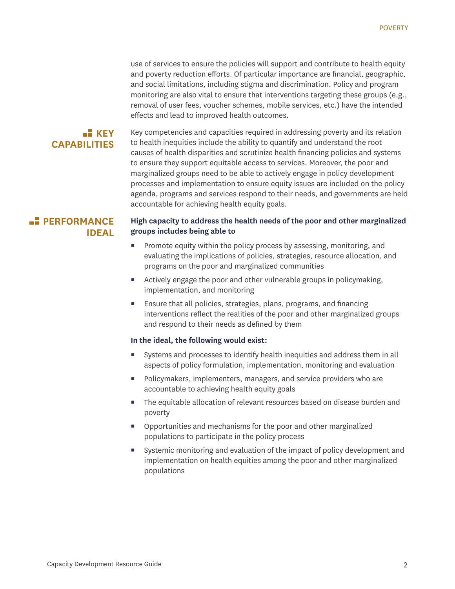use of services to ensure the policies will support and contribute to health equity and poverty reduction efforts. Of particular importance are financial, geographic, and social limitations, including stigma and discrimination. Policy and program monitoring are also vital to ensure that interventions targeting these groups (e.g., removal of user fees, voucher schemes, mobile services, etc.) have the intended effects and lead to improved health outcomes.

## $\blacksquare$  **KEY CAPABILITIES**

Key competencies and capacities required in addressing poverty and its relation to health inequities include the ability to quantify and understand the root causes of health disparities and scrutinize health financing policies and systems to ensure they support equitable access to services. Moreover, the poor and marginalized groups need to be able to actively engage in policy development processes and implementation to ensure equity issues are included on the policy agenda, programs and services respond to their needs, and governments are held accountable for achieving health equity goals.

## **PERFORMANCE IDEAL**

#### **High capacity to address the health needs of the poor and other marginalized groups includes being able to**

- Promote equity within the policy process by assessing, monitoring, and evaluating the implications of policies, strategies, resource allocation, and programs on the poor and marginalized communities
- Actively engage the poor and other vulnerable groups in policymaking, implementation, and monitoring
- **E** Ensure that all policies, strategies, plans, programs, and financing interventions reflect the realities of the poor and other marginalized groups and respond to their needs as defined by them

#### **In the ideal, the following would exist:**

- Systems and processes to identify health inequities and address them in all aspects of policy formulation, implementation, monitoring and evaluation
- **Policymakers, implementers, managers, and service providers who are** accountable to achieving health equity goals
- The equitable allocation of relevant resources based on disease burden and poverty
- Opportunities and mechanisms for the poor and other marginalized populations to participate in the policy process
- Systemic monitoring and evaluation of the impact of policy development and implementation on health equities among the poor and other marginalized populations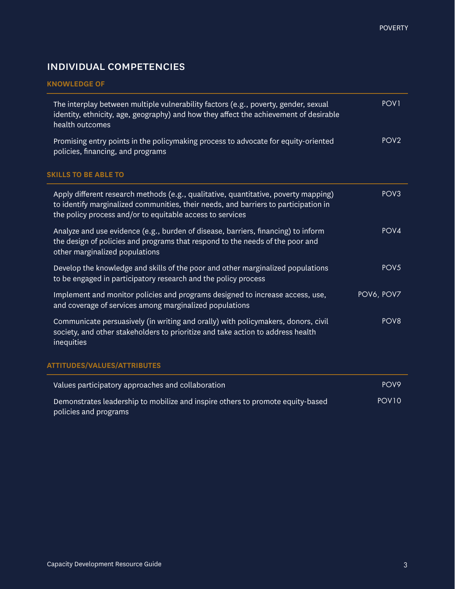# individual competencies

### **KNOWLEDGE OF**

| The interplay between multiple vulnerability factors (e.g., poverty, gender, sexual<br>identity, ethnicity, age, geography) and how they affect the achievement of desirable<br>health outcomes                                         | POV <sub>1</sub> |
|-----------------------------------------------------------------------------------------------------------------------------------------------------------------------------------------------------------------------------------------|------------------|
| Promising entry points in the policymaking process to advocate for equity-oriented<br>policies, financing, and programs                                                                                                                 | POV <sub>2</sub> |
| <b>SKILLS TO BE ABLE TO</b>                                                                                                                                                                                                             |                  |
| Apply different research methods (e.g., qualitative, quantitative, poverty mapping)<br>to identify marginalized communities, their needs, and barriers to participation in<br>the policy process and/or to equitable access to services | POV <sub>3</sub> |
| Analyze and use evidence (e.g., burden of disease, barriers, financing) to inform<br>the design of policies and programs that respond to the needs of the poor and<br>other marginalized populations                                    | POV4             |
| Develop the knowledge and skills of the poor and other marginalized populations<br>to be engaged in participatory research and the policy process                                                                                       | POV <sub>5</sub> |
| Implement and monitor policies and programs designed to increase access, use,<br>and coverage of services among marginalized populations                                                                                                | POV6, POV7       |
| Communicate persuasively (in writing and orally) with policymakers, donors, civil<br>society, and other stakeholders to prioritize and take action to address health<br>inequities                                                      | POV <sub>8</sub> |
|                                                                                                                                                                                                                                         |                  |

#### **ATTITUDES/VALUES/ATTRIBUTES**

| Values participatory approaches and collaboration                                                       | POV9              |
|---------------------------------------------------------------------------------------------------------|-------------------|
| Demonstrates leadership to mobilize and inspire others to promote equity-based<br>policies and programs | POV <sub>10</sub> |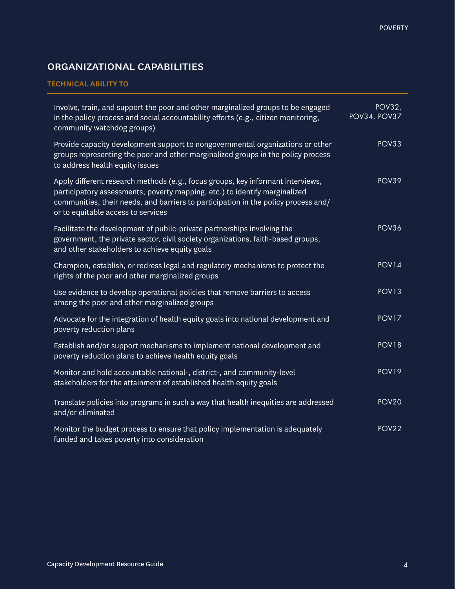# organizational capabilities

#### **TECHNICAL ABILITY TO**

| Involve, train, and support the poor and other marginalized groups to be engaged<br>in the policy process and social accountability efforts (e.g., citizen monitoring,<br>community watchdog groups)                                                                                      | <b>POV32,</b><br><b>POV34, POV37</b> |
|-------------------------------------------------------------------------------------------------------------------------------------------------------------------------------------------------------------------------------------------------------------------------------------------|--------------------------------------|
| Provide capacity development support to nongovernmental organizations or other<br>groups representing the poor and other marginalized groups in the policy process<br>to address health equity issues                                                                                     | POV33                                |
| Apply different research methods (e.g., focus groups, key informant interviews,<br>participatory assessments, poverty mapping, etc.) to identify marginalized<br>communities, their needs, and barriers to participation in the policy process and/<br>or to equitable access to services | POV39                                |
| Facilitate the development of public-private partnerships involving the<br>government, the private sector, civil society organizations, faith-based groups,<br>and other stakeholders to achieve equity goals                                                                             | POV36                                |
| Champion, establish, or redress legal and regulatory mechanisms to protect the<br>rights of the poor and other marginalized groups                                                                                                                                                        | POV <sub>14</sub>                    |
| Use evidence to develop operational policies that remove barriers to access<br>among the poor and other marginalized groups                                                                                                                                                               | <b>POV13</b>                         |
| Advocate for the integration of health equity goals into national development and<br>poverty reduction plans                                                                                                                                                                              | POV <sub>17</sub>                    |
| Establish and/or support mechanisms to implement national development and<br>poverty reduction plans to achieve health equity goals                                                                                                                                                       | <b>POV18</b>                         |
| Monitor and hold accountable national-, district-, and community-level<br>stakeholders for the attainment of established health equity goals                                                                                                                                              | <b>POV19</b>                         |
| Translate policies into programs in such a way that health inequities are addressed<br>and/or eliminated                                                                                                                                                                                  | POV <sub>20</sub>                    |
| Monitor the budget process to ensure that policy implementation is adequately<br>funded and takes poverty into consideration                                                                                                                                                              | POV <sub>22</sub>                    |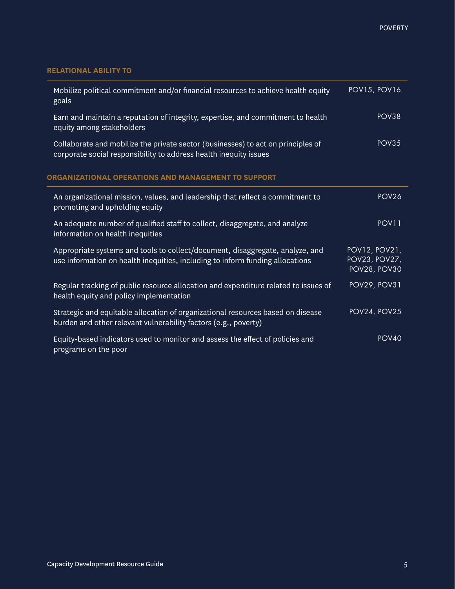### **RELATIONAL ABILITY TO**

| Mobilize political commitment and/or financial resources to achieve health equity<br>goals                                                                     | <b>POV15, POV16</b>                            |
|----------------------------------------------------------------------------------------------------------------------------------------------------------------|------------------------------------------------|
| Earn and maintain a reputation of integrity, expertise, and commitment to health<br>equity among stakeholders                                                  | POV38                                          |
| Collaborate and mobilize the private sector (businesses) to act on principles of<br>corporate social responsibility to address health inequity issues          | POV35                                          |
| ORGANIZATIONAL OPERATIONS AND MANAGEMENT TO SUPPORT                                                                                                            |                                                |
| An organizational mission, values, and leadership that reflect a commitment to<br>promoting and upholding equity                                               | POV <sub>26</sub>                              |
| An adequate number of qualified staff to collect, disaggregate, and analyze<br>information on health inequities                                                | POV11                                          |
| Appropriate systems and tools to collect/document, disaggregate, analyze, and<br>use information on health inequities, including to inform funding allocations | POV12, POV21,<br>POV23, POV27,<br>POV28, POV30 |
| Regular tracking of public resource allocation and expenditure related to issues of<br>health equity and policy implementation                                 | POV29, POV31                                   |
| Strategic and equitable allocation of organizational resources based on disease<br>burden and other relevant vulnerability factors (e.g., poverty)             | POV24, POV25                                   |
| Equity-based indicators used to monitor and assess the effect of policies and<br>programs on the poor                                                          | POV <sub>40</sub>                              |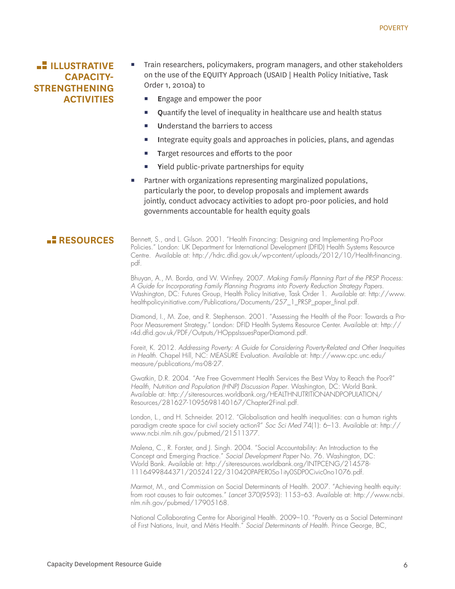## **ILLUSTRATIVE CAPACITY-STRENGTHENING ACTIVITIES**

- Train researchers, policymakers, program managers, and other stakeholders on the use of the EQUITY Approach (USAID | Health Policy Initiative, Task Order 1, 2010a) to
	- **E**ngage and empower the poor
	- **Q**uantify the level of inequality in healthcare use and health status
	- **U**nderstand the barriers to access
	- **I**ntegrate equity goals and approaches in policies, plans, and agendas
	- **T**arget resources and efforts to the poor
	- **Y**ield public-private partnerships for equity
- Partner with organizations representing marginalized populations, particularly the poor, to develop proposals and implement awards jointly, conduct advocacy activities to adopt pro-poor policies, and hold governments accountable for health equity goals

RESOURCES Bennett, S., and L. Gilson. 2001. "Health Financing: Designing and Implementing Pro-Poor Policies." London: UK Department for International Development (DFID) Health Systems Resource Centre. Available at: http://hdrc.dfid.gov.uk/wp-content/uploads/2012/10/Health-financing. pdf.

> Bhuyan, A., M. Borda, and W. Winfrey. 2007. *Making Family Planning Part of the PRSP Process: A Guide for Incorporating Family Planning Programs into Poverty Reduction Strategy Papers*. Washington, DC: Futures Group, Health Policy Initiative, Task Order 1. Available at: http://www. healthpolicyinitiative.com/Publications/Documents/257\_1\_PRSP\_paper\_final.pdf.

> Diamond, I., M. Zoe, and R. Stephenson. 2001. "Assessing the Health of the Poor: Towards a Pro-Poor Measurement Strategy." London: DFID Health Systems Resource Center. Available at: http:// r4d.dfid.gov.uk/PDF/Outputs/HOppsIssuesPaperDiamond.pdf.

> Foreit, K. 2012. *Addressing Poverty: A Guide for Considering Poverty-Related and Other Inequities in Health*. Chapel Hill, NC: MEASURE Evaluation. Available at: http://www.cpc.unc.edu/ measure/publications/ms-08-27.

Gwatkin, D.R. 2004. "Are Free Government Health Services the Best Way to Reach the Poor?" *Health, Nutrition and Population (HNP) Discussion Paper*. Washington, DC: World Bank. Available at: http://siteresources.worldbank.org/HEALTHNUTRITIONANDPOPULATION/ Resources/281627-1095698140167/Chapter2Final.pdf.

London, L., and H. Schneider. 2012. "Globalisation and health inequalities: can a human rights paradigm create space for civil society action?" *Soc Sci Med* 74(1): 6–13. Available at: http:// www.ncbi.nlm.nih.gov/pubmed/21511377.

Malena, C., R. Forster, and J. Singh. 2004. "Social Accountability: An Introduction to the Concept and Emerging Practice." *Social Development Paper* No. 76. Washington, DC: World Bank. Available at: http://siteresources.worldbank.org/INTPCENG/214578- 1116499844371/20524122/310420PAPER0So1ity0SDP0Civic0no1076.pdf.

Marmot, M., and Commission on Social Determinants of Health. 2007. "Achieving health equity: from root causes to fair outcomes." *Lancet* 370(9593): 1153–63. Available at: http://www.ncbi. nlm.nih.gov/pubmed/17905168.

National Collaborating Centre for Aboriginal Health. 2009–10. "Poverty as a Social Determinant of First Nations, Inuit, and Métis Health." *Social Determinants of Health*. Prince George, BC,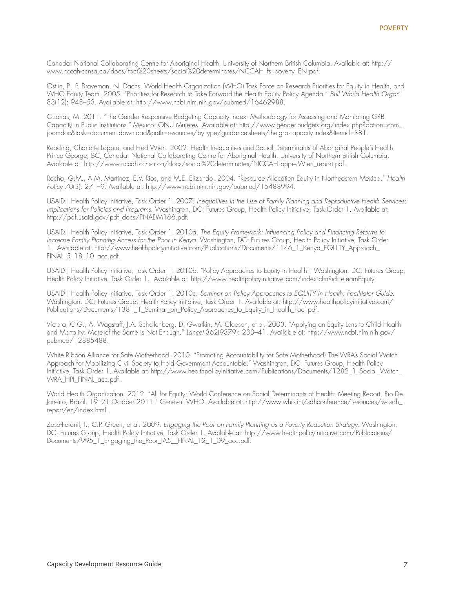Canada: National Collaborating Centre for Aboriginal Health, University of Northern British Columbia. Available at: http:// www.nccah-ccnsa.ca/docs/fact%20sheets/social%20determinates/NCCAH\_fs\_poverty\_EN.pdf.

Ostlin, P., P. Braveman, N. Dachs, World Health Organization (WHO) Task Force on Research Priorities for Equity in Health, and WHO Equity Team. 2005. "Priorities for Research to Take Forward the Health Equity Policy Agenda." *Bull World Health Organ* 83(12): 948–53. Available at: http://www.ncbi.nlm.nih.gov/pubmed/16462988.

Ozonas, M. 2011. "The Gender Responsive Budgeting Capacity Index: Methodology for Assessing and Monitoring GRB Capacity in Public Institutions." Mexico: ONU Mujeres. Available at: http://www.gender-budgets.org/index.php?option=com\_ joomdoc&task=document.download&path=resources/by-type/guidance-sheets/the-grb-capacity-index&Itemid=381.

Reading, Charlotte Loppie, and Fred Wien. 2009. Health Inequalities and Social Determinants of Aboriginal People's Health. Prince George, BC, Canada: National Collaborating Centre for Aboriginal Health, University of Northern British Columbia. Available at: http://www.nccah-ccnsa.ca/docs/social%20determinates/NCCAH-loppie-Wien\_report.pdf.

Rocha, G.M., A.M. Martinez, E.V. Rios, and M.E. Elizondo. 2004. "Resource Allocation Equity in Northeastern Mexico." *Health Policy* 70(3): 271–9. Available at: http://www.ncbi.nlm.nih.gov/pubmed/15488994.

USAID | Health Policy Initiative, Task Order 1. 2007. *Inequalities in the Use of Family Planning and Reproductive Health Services: Implications for Policies and Programs*. Washington, DC: Futures Group, Health Policy Initiative, Task Order 1. Available at: http://pdf.usaid.gov/pdf\_docs/PNADM166.pdf.

USAID | Health Policy Initiative, Task Order 1. 2010a. *The Equity Framework: Influencing Policy and Financing Reforms to Increase Family Planning Access for the Poor in Kenya*. Washington, DC: Futures Group, Health Policy Initiative, Task Order 1. Available at: http://www.healthpolicyinitiative.com/Publications/Documents/1146\_1\_Kenya\_EQUITY\_Approach\_ FINAL\_5\_18\_10\_acc.pdf.

USAID | Health Policy Initiative, Task Order 1. 2010b. "Policy Approaches to Equity in Health." Washington, DC: Futures Group, Health Policy Initiative, Task Order 1. Available at: http://www.healthpolicyinitiative.com/index.cfm?id=elearnEquity.

USAID | Health Policy Initiative, Task Order 1. 2010c. *Seminar on Policy Approaches to EQUITY in Health: Facilitator Guide*. Washington, DC: Futures Group, Health Policy Initiative, Task Order 1. Available at: http://www.healthpolicyinitiative.com/ Publications/Documents/1381\_1\_Seminar\_on\_Policy\_Approaches\_to\_Equity\_in\_Health\_Faci.pdf.

Victora, C.G., A. Wagstaff, J.A. Schellenberg, D. Gwatkin, M. Claeson, et al. 2003. "Applying an Equity Lens to Child Health and Mortality: More of the Same is Not Enough." *Lancet* 362(9379): 233–41. Available at: http://www.ncbi.nlm.nih.gov/ pubmed/12885488.

White Ribbon Alliance for Safe Motherhood. 2010. "Promoting Accountability for Safe Motherhood: The WRA's Social Watch Approach for Mobilizing Civil Society to Hold Government Accountable." Washington, DC: Futures Group, Health Policy Initiative, Task Order 1. Available at: http://www.healthpolicyinitiative.com/Publications/Documents/1282\_1\_Social\_Watch\_ WRA\_HPI\_FINAL\_acc.pdf.

World Health Organization. 2012. "All for Equity: World Conference on Social Determinants of Health: Meeting Report, Rio De Janeiro, Brazil, 19–21 October 2011." Geneva: WHO. Available at: http://www.who.int/sdhconference/resources/wcsdh\_ report/en/index.html.

Zosa-Feranil, I., C.P. Green, et al. 2009. *Engaging the Poor on Family Planning as a Poverty Reduction Strategy*. Washington, DC: Futures Group, Health Policy Initiative, Task Order 1. Available at: http://www.healthpolicyinitiative.com/Publications/ Documents/995\_1\_Engaging\_the\_Poor\_IA5\_\_FINAL\_12\_1\_09\_acc.pdf.